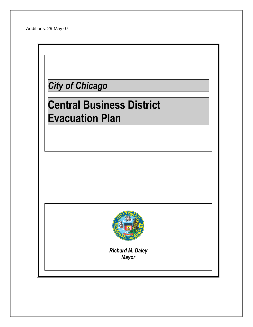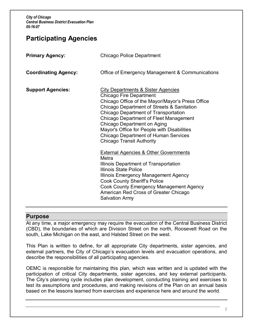# **Participating Agencies**

| <b>Primary Agency:</b>      | <b>Chicago Police Department</b>                                                                                                                                                                                                                                                                                                                                                                                                                                                                                                                                                                                                                                                                                                                                                  |
|-----------------------------|-----------------------------------------------------------------------------------------------------------------------------------------------------------------------------------------------------------------------------------------------------------------------------------------------------------------------------------------------------------------------------------------------------------------------------------------------------------------------------------------------------------------------------------------------------------------------------------------------------------------------------------------------------------------------------------------------------------------------------------------------------------------------------------|
| <b>Coordinating Agency:</b> | Office of Emergency Management & Communications                                                                                                                                                                                                                                                                                                                                                                                                                                                                                                                                                                                                                                                                                                                                   |
| <b>Support Agencies:</b>    | <b>City Departments &amp; Sister Agencies</b><br><b>Chicago Fire Department</b><br>Chicago Office of the Mayor/Mayor's Press Office<br><b>Chicago Department of Streets &amp; Sanitation</b><br>Chicago Department of Transportation<br>Chicago Department of Fleet Management<br>Chicago Department on Aging<br>Mayor's Office for People with Disabilities<br><b>Chicago Department of Human Services</b><br><b>Chicago Transit Authority</b><br><b>External Agencies &amp; Other Governments</b><br>Metra<br>Illinois Department of Transportation<br><b>Illinois State Police</b><br>Illinois Emergency Management Agency<br><b>Cook County Sheriff's Police</b><br>Cook County Emergency Management Agency<br>American Red Cross of Greater Chicago<br><b>Salvation Army</b> |

### **Purpose**

At any time, a major emergency may require the evacuation of the Central Business District (CBD), the boundaries of which are Division Street on the north, Roosevelt Road on the south, Lake Michigan on the east, and Halsted Street on the west.

This Plan is written to define, for all appropriate City departments, sister agencies, and external partners, the City of Chicago's evacuation levels and evacuation operations, and describe the responsibilities of all participating agencies.

OEMC is responsible for maintaining this plan*,* which was written and is updated with the participation of critical City departments, sister agencies, and key external participants. The City's planning cycle includes plan development, conducting training and exercises to test its assumptions and procedures, and making revisions of the Plan on an annual basis based on the lessons learned from exercises and experience here and around the world.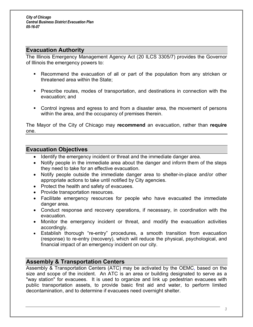### **Evacuation Authority**

The Illinois Emergency Management Agency Act (20 ILCS 3305/7) provides the Governor of Illinois the emergency powers to:

- **EXECOMMENT RETA** Recommend the evacuation of all or part of the population from any stricken or threatened area within the State;
- **Prescribe routes, modes of transportation, and destinations in connection with the** evacuation; and
- Control ingress and egress to and from a disaster area, the movement of persons within the area, and the occupancy of premises therein.

The Mayor of the City of Chicago may **recommend** an evacuation, rather than **require** one.

### **Evacuation Objectives**

- · Identify the emergency incident or threat and the immediate danger area.
- · Notify people in the immediate area about the danger and inform them of the steps they need to take for an effective evacuation.
- · Notify people outside the immediate danger area to shelter-in-place and/or other appropriate actions to take until notified by City agencies.
- · Protect the health and safety of evacuees.
- Provide transportation resources.
- · Facilitate emergency resources for people who have evacuated the immediate danger area.
- · Conduct response and recovery operations, if necessary, in coordination with the evacuation.
- · Monitor the emergency incident or threat, and modify the evacuation activities accordingly.
- Establish thorough "re-entry" procedures, a smooth transition from evacuation (response) to re-entry (recovery), which will reduce the physical, psychological, and financial impact of an emergency incident on our city.

### **Assembly & Transportation Centers**

Assembly & Transportation Centers (ATC) may be activated by the OEMC, based on the size and scope of the incident. An ATC is an area or building designated to serve as a "way station" for evacuees. It is used to organize and link up pedestrian evacuees with public transportation assets, to provide basic first aid and water, to perform limited decontamination, and to determine if evacuees need overnight shelter.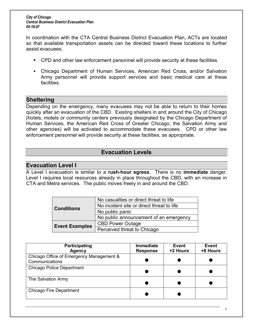In coordination with the CTA Central Business District Evacuation Plan, ACTs are located so that available transportation assets can be directed toward these locations to further assist evacuees.

- **CPD and other law enforcement personnel will provide security at these facilities.**
- Chicago Department of Human Services, American Red Cross, and/or Salvation Army personnel will provide support services and basic medical care at these facilities.

### **Sheltering**

Depending on the emergency, many evacuees may not be able to return to their homes quickly after an evacuation of the CBD. Existing shelters in and around the City of Chicago (hotels, motels or community centers previously designated by the Chicago Department of Human Services, the American Red Cross of Greater Chicago, the Salvation Army and other agencies) will be activated to accommodate these evacuees. CPD or other law enforcement personnel will provide security at these facilities, as appropriate.

### **Evacuation Levels**

### **Evacuation Level I**

A Level I evacuation is similar to a **rush-hour egress**. There is no **immediate** danger. Level I requires local resources already in place throughout the CBD, with an increase in CTA and Metra services. The public moves freely in and around the CBD.

|                       | No casualties or direct threat to life    |
|-----------------------|-------------------------------------------|
| <b>Conditions</b>     | No incident site or direct threat to life |
|                       | No public panic                           |
|                       | No public announcement of an emergency    |
| <b>Event Examples</b> | <b>CBD Power Outage</b>                   |
|                       | Perceived threat to Chicago               |

| <b>Participating</b><br><b>Agency</b>                      | <b>Immediate</b><br><b>Response</b> | Event<br>+2 Hours | Event<br>+8 Hours |
|------------------------------------------------------------|-------------------------------------|-------------------|-------------------|
| Chicago Office of Emergency Management &<br>Communications |                                     |                   |                   |
| <b>Chicago Police Department</b>                           |                                     |                   |                   |
| The Salvation Army                                         |                                     |                   |                   |
| Chicago Fire Department                                    |                                     |                   |                   |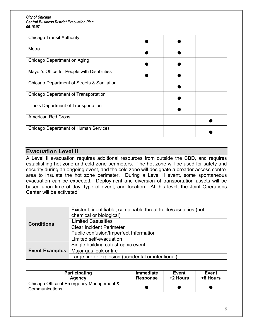| <b>Chicago Transit Authority</b>            |  |  |
|---------------------------------------------|--|--|
| Metra                                       |  |  |
| Chicago Department on Aging                 |  |  |
| Mayor's Office for People with Disabilities |  |  |
| Chicago Department of Streets & Sanitation  |  |  |
| Chicago Department of Transportation        |  |  |
| Illinois Department of Transportation       |  |  |
| <b>American Red Cross</b>                   |  |  |
| Chicago Department of Human Services        |  |  |

## **Evacuation Level II**

A Level II evacuation requires additional resources from outside the CBD, and requires establishing hot zone and cold zone perimeters. The hot zone will be used for safety and security during an ongoing event, and the cold zone will designate a broader access control area to insulate the hot zone perimeter. During a Level II event, some spontaneous evacuation can be expected. Deployment and diversion of transportation assets will be based upon time of day, type of event, and location. At this level, the Joint Operations Center will be activated.

|                       | Existent, identifiable, containable threat to life/casualties (not |
|-----------------------|--------------------------------------------------------------------|
|                       | chemical or biological)                                            |
| <b>Conditions</b>     | <b>Limited Casualties</b>                                          |
|                       | <b>Clear Incident Perimeter</b>                                    |
|                       | Public confusion/Imperfect Information                             |
|                       | Limited self-evacuation                                            |
|                       | Single building catastrophic event                                 |
| <b>Event Examples</b> | Major gas leak or fire                                             |
|                       | Large fire or explosion (accidental or intentional)                |

| Participating                                              | <b>Immediate</b> | Event    | Event    |
|------------------------------------------------------------|------------------|----------|----------|
| Agency                                                     | <b>Response</b>  | +2 Hours | +8 Hours |
| Chicago Office of Emergency Management &<br>Communications |                  |          |          |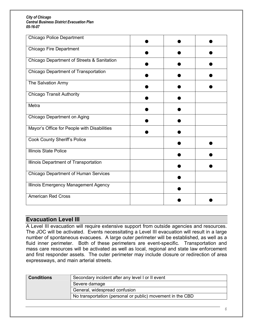| <b>Chicago Police Department</b>            |  |  |
|---------------------------------------------|--|--|
| Chicago Fire Department                     |  |  |
| Chicago Department of Streets & Sanitation  |  |  |
| Chicago Department of Transportation        |  |  |
| The Salvation Army                          |  |  |
| <b>Chicago Transit Authority</b>            |  |  |
| Metra                                       |  |  |
| Chicago Department on Aging                 |  |  |
| Mayor's Office for People with Disabilities |  |  |
| <b>Cook County Sheriff's Police</b>         |  |  |
| Illinois State Police                       |  |  |
| Illinois Department of Transportation       |  |  |
| <b>Chicago Department of Human Services</b> |  |  |
| Illinois Emergency Management Agency        |  |  |
| <b>American Red Cross</b>                   |  |  |

### **Evacuation Level III**

A Level III evacuation will require extensive support from outside agencies and resources. The JOC will be activated. Events necessitating a Level III evacuation will result in a large number of spontaneous evacuees. A large outer perimeter will be established, as well as a fluid inner perimeter. Both of these perimeters are event-specific. Transportation and mass care resources will be activated as well as local, regional and state law enforcement and first responder assets. The outer perimeter may include closure or redirection of area expressways, and main arterial streets.

| <b>Conditions</b>             | Secondary incident after any level I or II event           |
|-------------------------------|------------------------------------------------------------|
|                               | Severe damage                                              |
| General, widespread confusion |                                                            |
|                               | No transportation (personal or public) movement in the CBD |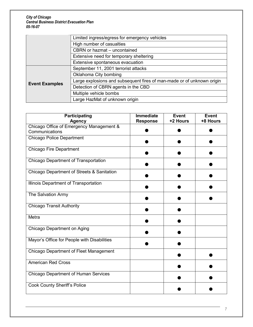|                                         | Limited ingress/egress for emergency vehicles                          |  |
|-----------------------------------------|------------------------------------------------------------------------|--|
|                                         | High number of casualties                                              |  |
|                                         | CBRN or hazmat - uncontained                                           |  |
| Extensive need for temporary sheltering |                                                                        |  |
|                                         | Extensive spontaneous evacuation                                       |  |
|                                         | September 11, 2001 terrorist attacks                                   |  |
|                                         | Oklahoma City bombing                                                  |  |
| <b>Event Examples</b>                   | Large explosions and subsequent fires of man-made or of unknown origin |  |
|                                         | Detection of CBRN agents in the CBD                                    |  |
|                                         | Multiple vehicle bombs                                                 |  |
|                                         | Large HazMat of unknown origin                                         |  |

| <b>Participating</b><br><b>Agency</b>       | <b>Immediate</b><br><b>Response</b> | <b>Event</b><br>+2 Hours | <b>Event</b><br>+8 Hours |
|---------------------------------------------|-------------------------------------|--------------------------|--------------------------|
| Chicago Office of Emergency Management &    |                                     |                          |                          |
| Communications                              |                                     |                          |                          |
| <b>Chicago Police Department</b>            |                                     |                          |                          |
| <b>Chicago Fire Department</b>              |                                     |                          |                          |
| <b>Chicago Department of Transportation</b> |                                     |                          |                          |
| Chicago Department of Streets & Sanitation  |                                     |                          |                          |
| Illinois Department of Transportation       |                                     |                          |                          |
| The Salvation Army                          |                                     |                          |                          |
| <b>Chicago Transit Authority</b>            |                                     |                          |                          |
| Metra                                       |                                     |                          |                          |
| Chicago Department on Aging                 |                                     |                          |                          |
| Mayor's Office for People with Disabilities |                                     |                          |                          |
| Chicago Department of Fleet Management      |                                     |                          |                          |
| <b>American Red Cross</b>                   |                                     |                          |                          |
| <b>Chicago Department of Human Services</b> |                                     |                          |                          |
| <b>Cook County Sheriff's Police</b>         |                                     |                          |                          |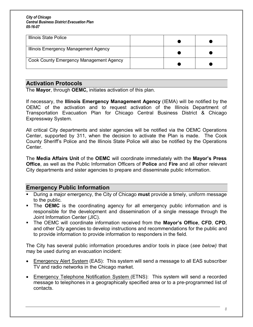| Illinois State Police                   |  |  |
|-----------------------------------------|--|--|
| Illinois Emergency Management Agency    |  |  |
| Cook County Emergency Management Agency |  |  |

## **Activation Protocols**

The **Mayor**, through **OEMC,** initiates activation of this plan.

If necessary, the **Illinois Emergency Management Agency** (IEMA) will be notified by the OEMC of the activation and to request activation of the Illinois Department of Transportation Evacuation Plan for Chicago Central Business District & Chicago Expressway System.

All critical City departments and sister agencies will be notified via the OEMC Operations Center, supported by 311, when the decision to activate the Plan is made. The Cook County Sheriff's Police and the Illinois State Police will also be notified by the Operations Center.

The **Media Affairs Unit** of the **OEMC** will coordinate immediately with the **Mayor's Press Office**, as well as the Public Information Officers of **Police** and **Fire** and all other relevant City departments and sister agencies to prepare and disseminate public information.

### **Emergency Public Information**

- ß During a major emergency, the City of Chicago **must** provide a timely, uniform message to the public.
- **The OEMC** is the coordinating agency for all emergency public information and is responsible for the development and dissemination of a single message through the Joint Information Center (JIC).
- ß The OEMC will coordinate information received from the **Mayor¶s Office**, **CFD**, **CPD**, and other City agencies to develop instructions and recommendations for the public and to provide information to provide information to responders in the field.

The City has several public information procedures and/or tools in place (*see below)* that may be used during an evacuation incident:

- Emergency Alert System (EAS): This system will send a message to all EAS subscriber TV and radio networks in the Chicago market.
- Emergency Telephone Notification System (ETNS): This system will send a recorded message to telephones in a geographically specified area or to a pre-programmed list of contacts.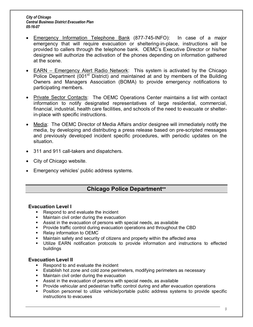- Emergency Information Telephone Bank (877-745-INFO): In case of a major emergency that will require evacuation or sheltering-in-place, instructions will be provided to callers through the telephone bank. OEMC's Executive Director or his/her designee will authorize the activation of the phones depending on information gathered at the scene.
- **EARN** Emergency Alert Radio Network: This system is activated by the Chicago Police Department (001<sup>st</sup> District) and maintained at and by members of the Building Owners and Managers Association (BOMA) to provide emergency notifications to participating members.
- · Private Sector Contacts: The OEMC Operations Center maintains a list with contact information to notify designated representatives of large residential, commercial, financial, industrial, health care facilities, and schools of the need to evacuate or shelterin-place with specific instructions.
- Media: The OEMC Director of Media Affairs and/or designee will immediately notify the media, by developing and distributing a press release based on pre-scripted messages and previously developed incident specific procedures, with periodic updates on the situation.
- · 311 and 911 call-takers and dispatchers.
- · City of Chicago website.
- Emergency vehicles' public address systems.

# **Chicago Police Department\*\***

### **Evacuation Level I**

- Respond to and evaluate the incident
- **KET Maintain civil order during the evacuation**
- **BED Assist in the evacuation of persons with special needs, as available**
- **•** Provide traffic control during evacuation operations and throughout the CBD
- Relay information to OEMC
- ß Maintain safety and security of citizens and property within the affected area
- ß Utilize EARN notification protocols to provide information and instructions to effected buildings

### **Evacuation Level II**

- ß Respond to and evaluate the incident
- **Establish hot zone and cold zone perimeters, modifying perimeters as necessary**
- **KET Maintain civil order during the evacuation**
- **BED Assist in the evacuation of persons with special needs, as available**
- ß Provide vehicular and pedestrian traffic control during and after evacuation operations
- ß Position personnel to utilize vehicle/portable public address systems to provide specific instructions to evacuees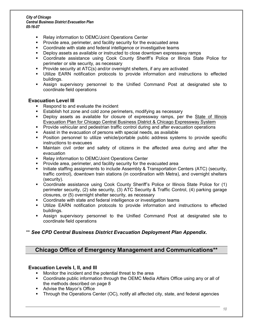- ß Relay information to OEMC/Joint Operations Center
- Provide area, perimeter, and facility security for the evacuated area
- ß Coordinate with state and federal intelligence or investigative teams
- **•** Deploy assets as available or instructed to close downtown expressway ramps
- **•** Coordinate assistance using Cook County Sheriff's Police or Illinois State Police for perimeter or site security, as necessary
- ß Provide security at ATC(s) and/or overnight shelters, if any are activated
- ß Utilize EARN notification protocols to provide information and instructions to effected buildings.
- **B** Assign supervisory personnel to the Unified Command Post at designated site to coordinate field operations

### **Evacuation Level III**

- Respond to and evaluate the incident
- ß Establish hot zone and cold zone perimeters, modifying as necessary
- ß Deploy assets as available for closure of expressway ramps, per the State of Illinois Evacuation Plan for Chicago Central Business District & Chicago Expressway System
- **•** Provide vehicular and pedestrian traffic control during and after evacuation operations
- **BED Assist in the evacuation of persons with special needs, as available**
- ß Position personnel to utilize vehicle/portable public address systems to provide specific instructions to evacuees
- **•** Maintain civil order and safety of citizens in the affected area during and after the evacuation
- ß Relay information to OEMC/Joint Operations Center
- ß Provide area, perimeter, and facility security for the evacuated area
- **EXECT** Initiate staffing assignments to include Assembly & Transportation Centers (ATC) (security, traffic control), downtown train stations (in coordination with Metra), and overnight shelters (security).
- Coordinate assistance using Cook County Sheriff's Police or Illinois State Police for (1) perimeter security, (2) site security, (3) ATC Security & Traffic Control, (4) parking garage closures, or (5) overnight shelter security, as necessary
- ß Coordinate with state and federal intelligence or investigation teams
- ß Utilize EARN notification protocols to provide information and instructions to effected buildings.
- ß Assign supervisory personnel to the Unified Command Post at designated site to coordinate field operations

### \*\* *See CPD Central Business District Evacuation Deployment Plan Appendix.*

### **Chicago Office of Emergency Management and Communications\*\***

### **Evacuation Levels I, II, and III**

- Monitor the incident and the potential threat to the area
- Coordinate public information through the OEMC Media Affairs Office using any or all of the methods described on page 8
- **Advise the Mayor's Office**
- Through the Operations Center (OC), notify all affected city, state, and federal agencies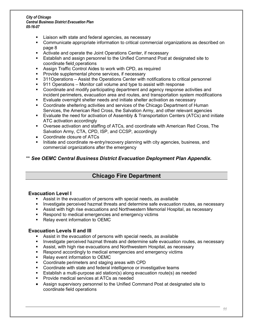- Liaison with state and federal agencies, as necessary
- ß Communicate appropriate information to critical commercial organizations as described on page 8
- ß Activate and operate the Joint Operations Center, if necessary
- **Establish and assign personnel to the Unified Command Post at designated site to** coordinate field operations
- ß Assign Traffic Control Aides to work with CPD, as required
- ß Provide supplemental phone services, if necessary
- 311Operations Assist the Operations Center with notifications to critical personnel
- 911 Operations Monitor call volume and type to assist with response
- ß Coordinate and modify participating department and agency response activities and incident perimeters, evacuation area and routes, and transportation system modifications
- ß Evaluate overnight shelter needs and initiate shelter activation as necessary
- Coordinate sheltering activities and services of the Chicago Department of Human Services, the American Red Cross, the Salvation Army, and other relevant agencies
- **Evaluate the need for activation of Assembly & Transportation Centers (ATCs) and initiate** ATC activation accordingly
- Oversee activation and staffing of ATCs, and coordinate with American Red Cross, The Salvation Army, CTA, CPD, ISP, and CCSP, accordingly
- · Coordinate closure of ATCs
- ß Initiate and coordinate re-entry/recovery planning with city agencies, business, and commercial organizations after the emergency

### \*\* *See OEMC Central Business District Evacuation Deployment Plan Appendix.*

## **Chicago Fire Department**

### **Evacuation Level I**

- **B.** Assist in the evacuation of persons with special needs, as available
- ß Investigate perceived hazmat threats and determine safe evacuation routes, as necessary
- ß Assist with high rise evacuations and Northwestern Memorial Hospital, as necessary
- Respond to medical emergencies and emergency victims
- ß Relay event information to OEMC

### **Evacuation Levels II and III**

- **BED Assist in the evacuation of persons with special needs, as available**
- ß Investigate perceived hazmat threats and determine safe evacuation routes, as necessary
- **BET Assist, with high rise evacuations and Northwestern Hospital, as necessary**
- ß Respond accordingly to medical emergencies and emergency victims
- ß Relay event information to OEMC
- Coordinate perimeters and staging areas with CPD
- Coordinate with state and federal intelligence or investigative teams
- ß Establish a multi-purpose aid station(s) along evacuation route(s) as needed
- ß Provide medical services at ATCs as needed
- · Assign supervisory personnel to the Unified Command Post at designated site to coordinate field operations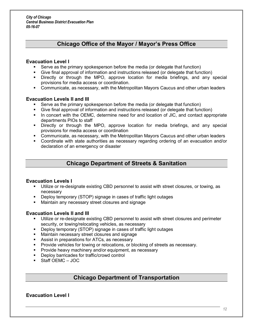## **Chicago Office of the Mayor / Mayor's Press Office**

#### **Evacuation Level I**

- ß Serve as the primary spokesperson before the media (or delegate that function)
- ß Give final approval of information and instructions released (or delegate that function)
- ß Directly or through the MPO, approve location for media briefings, and any special provisions for media access or coordination.
- Communicate, as necessary, with the Metropolitan Mayors Caucus and other urban leaders

### **Evacuation Levels II and III**

- ß Serve as the primary spokesperson before the media (or delegate that function)
- ß Give final approval of information and instructions released (or delegate that function)
- In concert with the OEMC, determine need for and location of JIC, and contact appropriate departments PIOs to staff
- ß Directly or through the MPO, approve location for media briefings, and any special provisions for media access or coordination
- ß Communicate, as necessary, with the Metropolitan Mayors Caucus and other urban leaders
- ß Coordinate with state authorities as necessary regarding ordering of an evacuation and/or declaration of an emergency or disaster

### **Chicago Department of Streets & Sanitation**

#### **Evacuation Levels I**

- ß Utilize or re-designate existing CBD personnel to assist with street closures, or towing, as necessary
- ß Deploy temporary (STOP) signage in cases of traffic light outages
- Maintain any necessary street closures and signage

#### **Evacuation Levels II and III**

- **Utilize or re-designate existing CBD personnel to assist with street closures and perimeter** security, or towing/relocating vehicles, as necessary
- **Deploy temporary (STOP) signage in cases of traffic light outages**
- **Maintain necessary street closures and signage**
- **BED Assist in preparations for ATCs, as necessary**
- **Provide vehicles for towing or relocations, or blocking of streets as necessary.**
- ß Provide heavy machinery and/or equipment, as necessary
- **•** Deploy barricades for traffic/crowd control
- Staff OEMC JOC

### **Chicago Department of Transportation**

### **Evacuation Level I**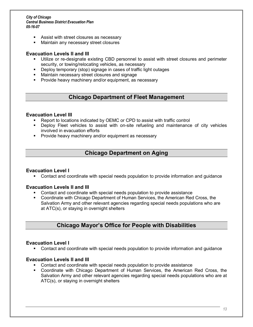- **BED Assist with street closures as necessary**
- ß Maintain any necessary street closures

#### **Evacuation Levels II and III**

- **Utilize or re-designate existing CBD personnel to assist with street closures and perimeter** security, or towing/relocating vehicles, as necessary
- **•** Deploy temporary (stop) signage in cases of traffic light outages
- **Maintain necessary street closures and signage**
- ß Provide heavy machinery and/or equipment, as necessary

### **Chicago Department of Fleet Management**

#### **Evacuation Level III**

- ß Report to locations indicated by OEMC or CPD to assist with traffic control
- ß Deploy Fleet vehicles to assist with on-site refueling and maintenance of city vehicles involved in evacuation efforts
- ß Provide heavy machinery and/or equipment as necessary

## **Chicago Department on Aging**

#### **Evacuation Level I**

• Contact and coordinate with special needs population to provide information and guidance

#### **Evacuation Levels II and III**

- ß Contact and coordinate with special needs population to provide assistance
- ß Coordinate with Chicago Department of Human Services, the American Red Cross, the Salvation Army and other relevant agencies regarding special needs populations who are at ATC(s), or staying in overnight shelters

### **Chicago Mayor¶s Office for People with Disabilities**

#### **Evacuation Level I**

ß Contact and coordinate with special needs population to provide information and guidance

#### **Evacuation Levels II and III**

- ß Contact and coordinate with special needs population to provide assistance
- ß Coordinate with Chicago Department of Human Services, the American Red Cross, the Salvation Army and other relevant agencies regarding special needs populations who are at ATC(s), or staying in overnight shelters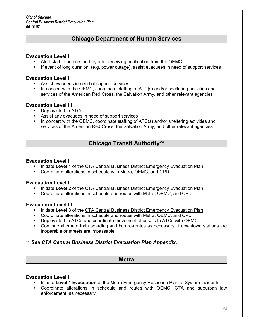### **Chicago Department of Human Services**

### **Evacuation Level I**

- **BET Alert staff to be on stand-by after receiving notification from the OEMC**
- **F** If event of long duration, (e.g. power outage), assist evacuees in need of support services

### **Evacuation Level II**

- ß Assist evacuees in need of support services
- In concert with the OEMC, coordinate staffing of ATC(s) and/or sheltering activities and services of the American Red Cross, the Salvation Army, and other relevant agencies

### **Evacuation Level III**

- ß Deploy staff to ATCs
- ß Assist any evacuees in need of support services
- In concert with the OEMC, coordinate staffing of ATC(s) and/or sheltering activities and services of the American Red Cross, the Salvation Army, and other relevant agencies

## **Chicago Transit Authority\*\***

### **Evacuation Level I**

- ß Initiate **Level 1** of the CTA Central Business District Emergency Evacuation Plan
- **Coordinate alterations in schedule with Metra, OEMC, and CPD**

### **Evacuation Level II**

- **Initiate Level 2** of the CTA Central Business District Emergency Evacuation Plan
- ß Coordinate alterations in schedule and routes with Metra, OEMC, and CPD

#### **Evacuation Level III**

- ß Initiate **Level 3** of the CTA Central Business District Emergency Evacuation Plan
- ß Coordinate alterations in schedule and routes with Metra, OEMC, and CPD
- **Deploy staff to ATCs and coordinate movement of assets to ATCs with OEMC**
- ß Continue alternate train boarding and bus re-routes as necessary, if downtown stations are inoperable or streets are impassable

### \*\* *See CTA Central Business District Evacuation Plan Appendix.*

### **Metra**

### **Evacuation Level I**

- ß Initiate **Level 1 Evacuation** of the Metra Emergency Response Plan to System Incidents
- ß Coordinate alterations in schedule and routes with OEMC, CTA and suburban law enforcement, as necessary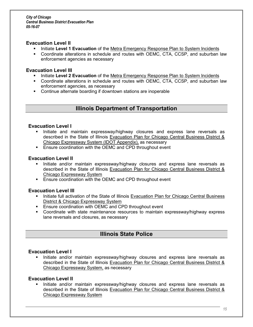#### **Evacuation Level II**

- ß Initiate **Level 1 Evacuation** of the Metra Emergency Response Plan to System Incidents
- **•** Coordinate alterations in schedule and routes with OEMC, CTA, CCSP, and suburban law enforcement agencies as necessary

#### **Evacuation Level III**

- ß Initiate **Level 2 Evacuation** of the Metra Emergency Response Plan to System Incidents
- ß Coordinate alterations in schedule and routes with OEMC, CTA, CCSP, and suburban law enforcement agencies, as necessary
- **•** Continue alternate boarding if downtown stations are inoperable

### **Illinois Department of Transportation**

#### **Evacuation Level I**

- ß Initiate and maintain expressway/highway closures and express lane reversals as described in the State of Illinois Evacuation Plan for Chicago Central Business District & Chicago Expressway System (IDOT Appendix), as necessary
- **Ensure coordination with the OEMC and CPD throughout event**

#### **Evacuation Level II**

- **Initiate and/or maintain expressway/highway closures and express lane reversals as** described in the State of Illinois Evacuation Plan for Chicago Central Business District & Chicago Expressway System
- **Ensure coordination with the OEMC and CPD throughout event**

### **Evacuation Level III**

- **EXEDENT Initiate full activation of the State of Illinois Evacuation Plan for Chicago Central Business** District & Chicago Expressway System
- ß Ensure coordination with OEMC and CPD throughout event
- ß Coordinate with state maintenance resources to maintain expressway/highway express lane reversals and closures, as necessary

### **Illinois State Police**

#### **Evacuation Level I**

ß Initiate and/or maintain expressway/highway closures and express lane reversals as described in the State of Illinois Evacuation Plan for Chicago Central Business District & Chicago Expressway System, as necessary

#### **Evacuation Level II**

ß Initiate and/or maintain expressway/highway closures and express lane reversals as described in the State of Illinois Evacuation Plan for Chicago Central Business District & Chicago Expressway System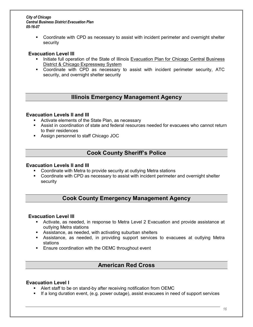ß Coordinate with CPD as necessary to assist with incident perimeter and overnight shelter security

#### **Evacuation Level III**

- Initiate full operation of the State of Illinois Evacuation Plan for Chicago Central Business District & Chicago Expressway System
- Coordinate with CPD as necessary to assist with incident perimeter security, ATC security, and overnight shelter security

### **Illinois Emergency Management Agency**

#### **Evacuation Levels II and III**

- **EXEDENT Activate elements of the State Plan, as necessary**
- Assist in coordination of state and federal resources needed for evacuees who cannot return to their residences
- **BET** Assign personnel to staff Chicago JOC

## **Cook County Sheriff¶s Police**

#### **Evacuation Levels II and III**

- ß Coordinate with Metra to provide security at outlying Metra stations
- Coordinate with CPD as necessary to assist with incident perimeter and overnight shelter security

## **Cook County Emergency Management Agency**

### **Evacuation Level III**

- ß Activate, as needed, in response to Metra Level 2 Evacuation and provide assistance at outlying Metra stations
- **BED Assistance, as needed, with activating suburban shelters**
- ß Assistance, as needed, in providing support services to evacuees at outlying Metra stations
- **Ensure coordination with the OEMC throughout event**

### **American Red Cross**

### **Evacuation Level I**

- ß Alert staff to be on stand-by after receiving notification from OEMC
- **If a long duration event, (e.g. power outage), assist evacuees in need of support services**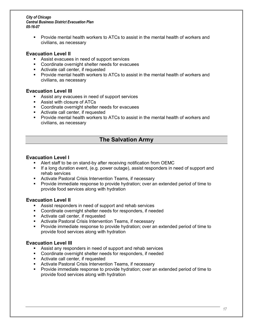**Provide mental health workers to ATCs to assist in the mental health of workers and** civilians, as necessary

### **Evacuation Level II**

- **BED Assist evacuees in need of support services**
- **EXECOORDINATE:** Coordinate overnight shelter needs for evacuees
- Activate call center, if requested
- **Provide mental health workers to ATCs to assist in the mental health of workers and** civilians, as necessary

### **Evacuation Level III**

- **BED Assist any evacuees in need of support services**
- **BED Assist with closure of ATCs**
- **EXECOORDINATE:** Coordinate overnight shelter needs for evacuees
- Activate call center, if requested
- **Provide mental health workers to ATCs to assist in the mental health of workers and** civilians, as necessary

## **The Salvation Army**

### **Evacuation Level I**

- ß Alert staff to be on stand-by after receiving notification from OEMC
- ß If a long duration event, (e.g. power outage), assist responders in need of support and rehab services
- **EXECT** Activate Pastoral Crisis Intervention Teams, if necessary
- Provide immediate response to provide hydration; over an extended period of time to provide food services along with hydration

### **Evacuation Level II**

- **BED Assist responders in need of support and rehab services**
- **•** Coordinate overnight shelter needs for responders, if needed
- Activate call center, if requested
- **BET Activate Pastoral Crisis Intervention Teams, if necessary**
- **Provide immediate response to provide hydration; over an extended period of time to** provide food services along with hydration

### **Evacuation Level III**

- **BED Assist any responders in need of support and rehab services**
- **•** Coordinate overnight shelter needs for responders, if needed
- Activate call center, if requested
- **BET Activate Pastoral Crisis Intervention Teams, if necessary**
- ß Provide immediate response to provide hydration; over an extended period of time to provide food services along with hydration